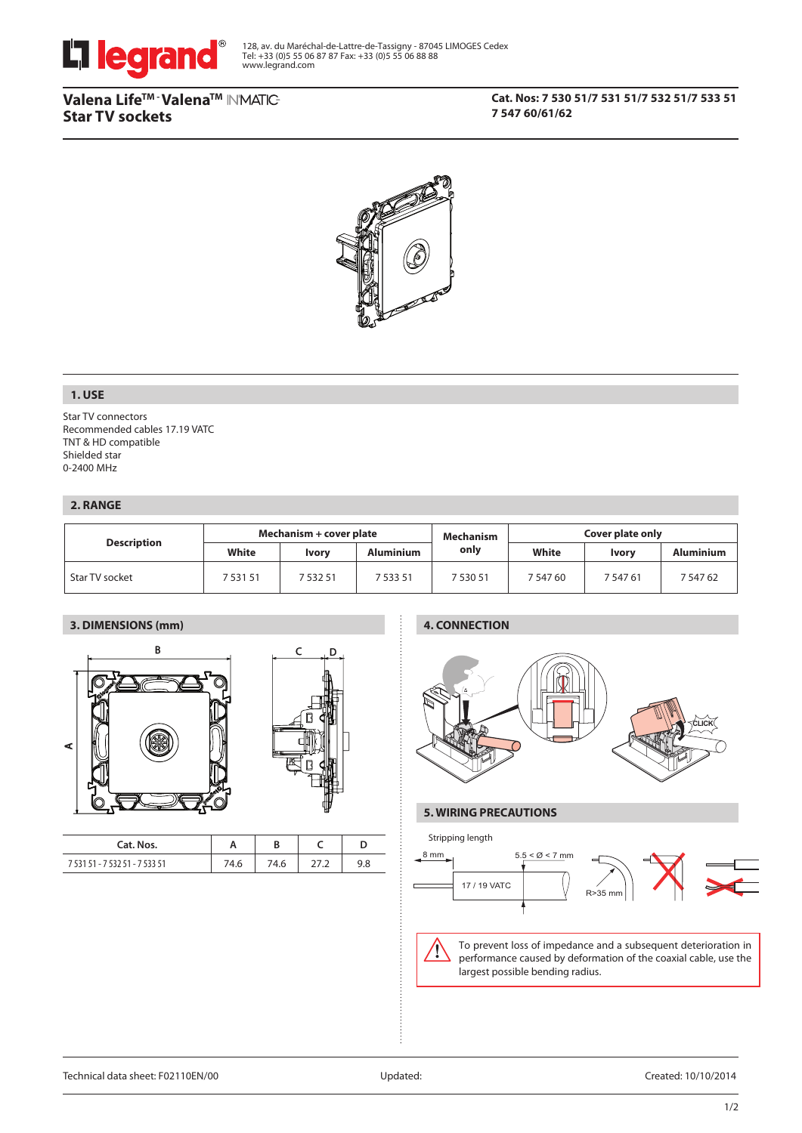

# **Valena LifeTM - ValenaTM Star TV sockets**

# **Cat. Nos: 7 530 51/7 531 51/7 532 51/7 533 51 7 547 60/61/62**



# **1. USE**

Star TV connectors Recommended cables 17.19 VATC TNT & HD compatible Shielded star 0-2400 MHz

# **2. RANGE**

|                    | Mechanism + cover plate |              |                  | Mechanism | Cover plate only |          |           |
|--------------------|-------------------------|--------------|------------------|-----------|------------------|----------|-----------|
| <b>Description</b> | White                   | <b>Ivory</b> | <b>Aluminium</b> | only      | White            | Ivory    | Aluminium |
| Star TV socket     | 7 531 51                | 7 532 51     | 7 533 51         | 7 530 51  | 7 547 60         | 7 547 61 | 7 547 62  |

# **3. DIMENSIONS (mm)**





| Cat. Nos.                      |      |      |     |
|--------------------------------|------|------|-----|
| 7 531 51 - 7 532 51 - 7 533 51 | 74.6 | 74.6 | 9.8 |

# **4. CONNECTION**



### **5. WIRING PRECAUTIONS**



To prevent loss of impedance and a subsequent deterioration in performance caused by deformation of the coaxial cable, use the largest possible bending radius.

Ί